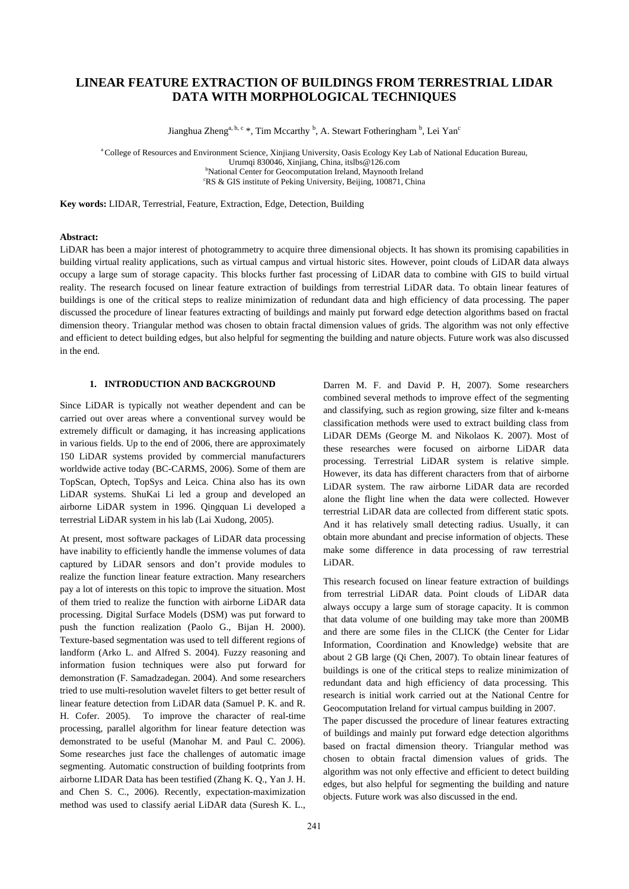# **LINEAR FEATURE EXTRACTION OF BUILDINGS FROM TERRESTRIAL LIDAR DATA WITH MORPHOLOGICAL TECHNIQUES**

Jianghua Zheng<sup>a, b, c</sup> \*, Tim Mccarthy <sup>b</sup>, A. Stewart Fotheringham <sup>b</sup>, Lei Yan<sup>c</sup>

a College of Resources and Environment Science, Xinjiang University, Oasis Ecology Key Lab of National Education Bureau, Urumqi 830046, Xinjiang, China, itslbs@126.com b <sup>b</sup>National Center for Geocomputation Ireland, Maynooth Ireland RS & GIS institute of Peking University, Beijing, 100871, China

**Key words:** LIDAR, Terrestrial, Feature, Extraction, Edge, Detection, Building

## **Abstract:**

LiDAR has been a major interest of photogrammetry to acquire three dimensional objects. It has shown its promising capabilities in building virtual reality applications, such as virtual campus and virtual historic sites. However, point clouds of LiDAR data always occupy a large sum of storage capacity. This blocks further fast processing of LiDAR data to combine with GIS to build virtual reality. The research focused on linear feature extraction of buildings from terrestrial LiDAR data. To obtain linear features of buildings is one of the critical steps to realize minimization of redundant data and high efficiency of data processing. The paper discussed the procedure of linear features extracting of buildings and mainly put forward edge detection algorithms based on fractal dimension theory. Triangular method was chosen to obtain fractal dimension values of grids. The algorithm was not only effective and efficient to detect building edges, but also helpful for segmenting the building and nature objects. Future work was also discussed in the end.

#### **1. INTRODUCTION AND BACKGROUND**

Since LiDAR is typically not weather dependent and can be carried out over areas where a conventional survey would be extremely difficult or damaging, it has increasing applications in various fields. Up to the end of 2006, there are approximately 150 LiDAR systems provided by commercial manufacturers worldwide active today (BC-CARMS, 2006). Some of them are TopScan, Optech, TopSys and Leica. China also has its own LiDAR systems. ShuKai Li led a group and developed an airborne LiDAR system in 1996. Qingquan Li developed a terrestrial LiDAR system in his lab (Lai Xudong, 2005).

At present, most software packages of LiDAR data processing have inability to efficiently handle the immense volumes of data captured by LiDAR sensors and don't provide modules to realize the function linear feature extraction. Many researchers pay a lot of interests on this topic to improve the situation. Most of them tried to realize the function with airborne LiDAR data processing. Digital Surface Models (DSM) was put forward to push the function realization (Paolo G., Bijan H. 2000). Texture-based segmentation was used to tell different regions of landform (Arko L. and Alfred S. 2004). Fuzzy reasoning and information fusion techniques were also put forward for demonstration (F. Samadzadegan. 2004). And some researchers tried to use multi-resolution wavelet filters to get better result of linear feature detection from LiDAR data (Samuel P. K. and R. H. Cofer. 2005). To improve the character of real-time processing, parallel algorithm for linear feature detection was demonstrated to be useful (Manohar M. and Paul C. 2006). Some researches just face the challenges of automatic image segmenting. Automatic construction of building footprints from airborne LIDAR Data has been testified (Zhang K. Q., Yan J. H. and Chen S. C., 2006). Recently, expectation-maximization method was used to classify aerial LiDAR data (Suresh K. L.,

However, its data has different characters from that of airborne LiDAR system. The raw airborne LiDAR data are recorded alone the flight line when the data were collected. However terrestrial LiDAR data are collected from different static spots. And it has relatively small detecting radius. Usually, it can obtain more abundant and precise information of objects. These make some difference in data processing of raw terrestrial LiDAR. This research focused on linear feature extraction of buildings from terrestrial LiDAR data. Point clouds of LiDAR data always occupy a large sum of storage capacity. It is common that data volume of one building may take more than 200MB and there are some files in the CLICK (the Center for Lidar

Darren M. F. and David P. H, 2007). Some researchers combined several methods to improve effect of the segmenting and classifying, such as region growing, size filter and k-means classification methods were used to extract building class from LiDAR DEMs (George M. and Nikolaos K. 2007). Most of these researches were focused on airborne LiDAR data processing. Terrestrial LiDAR system is relative simple.

Information, Coordination and Knowledge) website that are about 2 GB large (Qi Chen, 2007). To obtain linear features of buildings is one of the critical steps to realize minimization of redundant data and high efficiency of data processing. This research is initial work carried out at the National Centre for Geocomputation Ireland for virtual campus building in 2007.

The paper discussed the procedure of linear features extracting of buildings and mainly put forward edge detection algorithms based on fractal dimension theory. Triangular method was chosen to obtain fractal dimension values of grids. The algorithm was not only effective and efficient to detect building edges, but also helpful for segmenting the building and nature objects. Future work was also discussed in the end.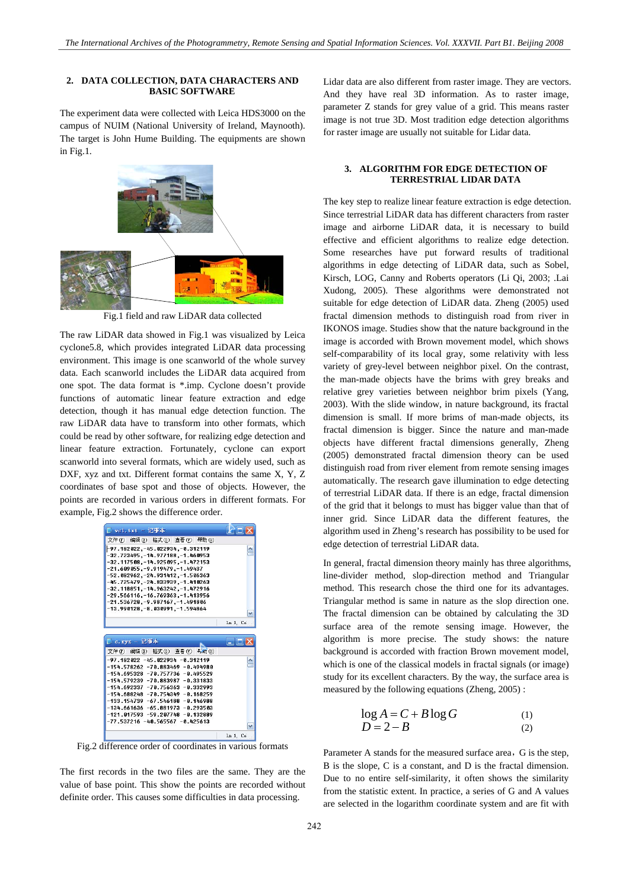#### **2. DATA COLLECTION, DATA CHARACTERS AND BASIC SOFTWARE**

The experiment data were collected with Leica HDS3000 on the campus of NUIM (National University of Ireland, Maynooth). The target is John Hume Building. The equipments are shown in Fig.1.



Fig.1 field and raw LiDAR data collected

The raw LiDAR data showed in Fig.1 was visualized by Leica cyclone5.8, which provides integrated LiDAR data processing environment. This image is one scanworld of the whole survey data. Each scanworld includes the LiDAR data acquired from one spot. The data format is \*.imp. Cyclone doesn't provide functions of automatic linear feature extraction and edge detection, though it has manual edge detection function. The raw LiDAR data have to transform into other formats, which could be read by other software, for realizing edge detection and linear feature extraction. Fortunately, cyclone can export scanworld into several formats, which are widely used, such as DXF, xyz and txt. Different format contains the same X, Y, Z coordinates of base spot and those of objects. However, the points are recorded in various orders in different formats. For example, Fig.2 shows the difference order.

| $\Box$ yel. txt - 记事本                                                                                                                                                                                                                                                                                                                                                                                  |           |
|--------------------------------------------------------------------------------------------------------------------------------------------------------------------------------------------------------------------------------------------------------------------------------------------------------------------------------------------------------------------------------------------------------|-----------|
| 文件(F) 編辑(E) 格式(O) 查看(V) 帮助(H)                                                                                                                                                                                                                                                                                                                                                                          |           |
| -97.182022.-45.022934.-0.312119<br>$-32.723495, -14.977188, -1.460953$<br>$-32.117508, -14.925095, -1.472153$<br>$-21.609055 - 9.919479 - 1.49437$<br>$-52.082962 - 24.931412 - 1.506363$<br>$-45.725479, -24.833939, -1.418263$<br>$-32.118851, -14.963242, -1.472916$<br>$-29.566116, -16.769363, -1.413956$<br>$-21.536728. -9.987167. -1.491806$<br>$-13.990128. -8.030991. -1.594864$             |           |
|                                                                                                                                                                                                                                                                                                                                                                                                        |           |
|                                                                                                                                                                                                                                                                                                                                                                                                        | Ln 1, Co. |
| $c. x y z - \n \mathbf{i}$ 事本                                                                                                                                                                                                                                                                                                                                                                          |           |
| 文件(F) 编辑(E) 格式(O) 查看(V) 韦助(H)                                                                                                                                                                                                                                                                                                                                                                          |           |
| $-97.182022 - 45.022934 - 0.312119$<br>$-154.578262 - 78.883469 - 8.494980$<br>-154.695328 -70.757736 -0.495529<br>$-154.579239 - 78.883987 - 8.331833$<br>$-154.692337 - 78.756363 - 8.332993$<br>$-154.688248 - 78.754349 - 8.168259$<br>$-133.154739 - 67.546188 - 0.146988$<br>$-134.661636 - 65.881973 - 0.293503$<br>$-121.017593 - 59.207748 - 0.132889$<br>$-77.537216 - 48.565567 - 8.425613$ |           |

Fig.2 difference order of coordinates in various formats

The first records in the two files are the same. They are the value of base point. This show the points are recorded without definite order. This causes some difficulties in data processing.

Lidar data are also different from raster image. They are vectors. And they have real 3D information. As to raster image, parameter Z stands for grey value of a grid. This means raster image is not true 3D. Most tradition edge detection algorithms for raster image are usually not suitable for Lidar data.

## **3. ALGORITHM FOR EDGE DETECTION OF TERRESTRIAL LIDAR DATA**

The key step to realize linear feature extraction is edge detection. Since terrestrial LiDAR data has different characters from raster image and airborne LiDAR data, it is necessary to build effective and efficient algorithms to realize edge detection. Some researches have put forward results of traditional algorithms in edge detecting of LiDAR data, such as Sobel, Kirsch, LOG, Canny and Roberts operators (Li Qi, 2003; .Lai Xudong, 2005). These algorithms were demonstrated not suitable for edge detection of LiDAR data. Zheng (2005) used fractal dimension methods to distinguish road from river in IKONOS image. Studies show that the nature background in the image is accorded with Brown movement model, which shows self-comparability of its local gray, some relativity with less variety of grey-level between neighbor pixel. On the contrast, the man-made objects have the brims with grey breaks and relative grey varieties between neighbor brim pixels (Yang, 2003). With the slide window, in nature background, its fractal dimension is small. If more brims of man-made objects, its fractal dimension is bigger. Since the nature and man-made objects have different fractal dimensions generally, Zheng (2005) demonstrated fractal dimension theory can be used distinguish road from river element from remote sensing images automatically. The research gave illumination to edge detecting of terrestrial LiDAR data. If there is an edge, fractal dimension of the grid that it belongs to must has bigger value than that of inner grid. Since LiDAR data the different features, the algorithm used in Zheng's research has possibility to be used for edge detection of terrestrial LiDAR data.

In general, fractal dimension theory mainly has three algorithms, line-divider method, slop-direction method and Triangular method. This research chose the third one for its advantages. Triangular method is same in nature as the slop direction one. The fractal dimension can be obtained by calculating the 3D surface area of the remote sensing image. However, the algorithm is more precise. The study shows: the nature background is accorded with fraction Brown movement model, which is one of the classical models in fractal signals (or image) study for its excellent characters. By the way, the surface area is measured by the following equations (Zheng, 2005) :

$$
\log A = C + B \log G \tag{1}
$$
  
 
$$
D = 2 - B \tag{2}
$$

Parameter A stands for the measured surface area, G is the step, B is the slope, C is a constant, and D is the fractal dimension. Due to no entire self-similarity, it often shows the similarity from the statistic extent. In practice, a series of G and A values are selected in the logarithm coordinate system and are fit with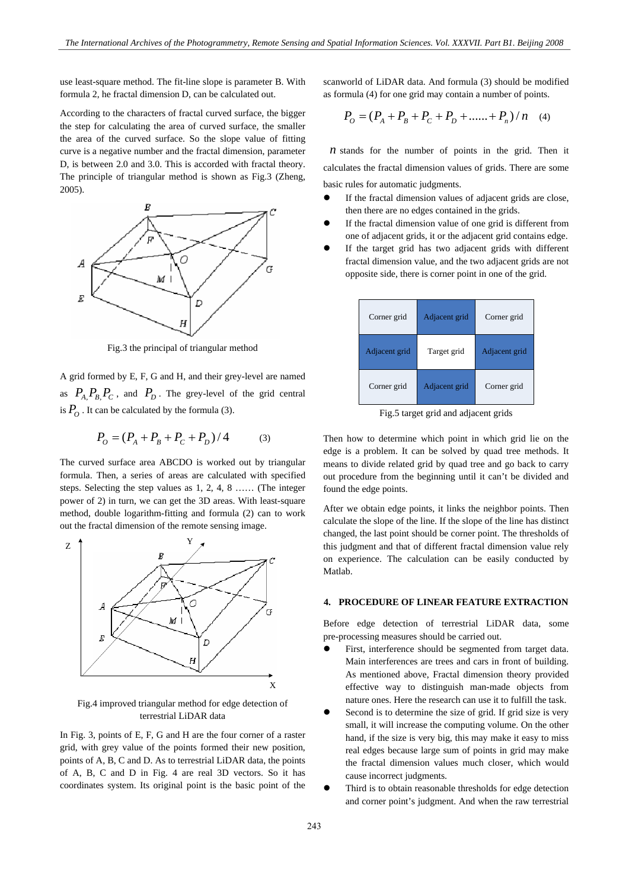use least-square method. The fit-line slope is parameter B. With formula 2, he fractal dimension D, can be calculated out.

According to the characters of fractal curved surface, the bigger the step for calculating the area of curved surface, the smaller the area of the curved surface. So the slope value of fitting curve is a negative number and the fractal dimension, parameter D, is between 2.0 and 3.0. This is accorded with fractal theory. The principle of triangular method is shown as Fig.3 (Zheng, 2005).



Fig.3 the principal of triangular method

A grid formed by E, F, G and H, and their grey-level are named as  $P_{A}P_{B}P_{C}$ , and  $P_{D}$ . The grey-level of the grid central is  $P_{\alpha}$ . It can be calculated by the formula (3).

$$
P_0 = (P_A + P_B + P_C + P_D) / 4 \tag{3}
$$

The curved surface area ABCDO is worked out by triangular formula. Then, a series of areas are calculated with specified steps. Selecting the step values as 1, 2, 4, 8 …… (The integer power of 2) in turn, we can get the 3D areas. With least-square method, double logarithm-fitting and formula (2) can to work out the fractal dimension of the remote sensing image.



Fig.4 improved triangular method for edge detection of terrestrial LiDAR data

In Fig. 3, points of E, F, G and H are the four corner of a raster grid, with grey value of the points formed their new position, points of A, B, C and D. As to terrestrial LiDAR data, the points of A, B, C and D in Fig. 4 are real 3D vectors. So it has coordinates system. Its original point is the basic point of the

scanworld of LiDAR data. And formula (3) should be modified as formula (4) for one grid may contain a number of points.

$$
P_O = (P_A + P_B + P_C + P_D + \dots + P_n) / n \quad (4)
$$

 $n$  stands for the number of points in the grid. Then it calculates the fractal dimension values of grids. There are some basic rules for automatic judgments.

- If the fractal dimension values of adjacent grids are close, then there are no edges contained in the grids.
- If the fractal dimension value of one grid is different from one of adjacent grids, it or the adjacent grid contains edge.
- If the target grid has two adjacent grids with different fractal dimension value, and the two adjacent grids are not opposite side, there is corner point in one of the grid.

| Corner grid   | Adjacent grid | Corner grid   |
|---------------|---------------|---------------|
| Adjacent grid | Target grid   | Adjacent grid |
| Corner grid   | Adjacent grid | Corner grid   |

Fig.5 target grid and adjacent grids

Then how to determine which point in which grid lie on the edge is a problem. It can be solved by quad tree methods. It means to divide related grid by quad tree and go back to carry out procedure from the beginning until it can't be divided and found the edge points.

After we obtain edge points, it links the neighbor points. Then calculate the slope of the line. If the slope of the line has distinct changed, the last point should be corner point. The thresholds of this judgment and that of different fractal dimension value rely on experience. The calculation can be easily conducted by Matlab.

#### **4. PROCEDURE OF LINEAR FEATURE EXTRACTION**

Before edge detection of terrestrial LiDAR data, some pre-processing measures should be carried out.

- First, interference should be segmented from target data. Main interferences are trees and cars in front of building. As mentioned above, Fractal dimension theory provided effective way to distinguish man-made objects from nature ones. Here the research can use it to fulfill the task.
- Second is to determine the size of grid. If grid size is very small, it will increase the computing volume. On the other hand, if the size is very big, this may make it easy to miss real edges because large sum of points in grid may make the fractal dimension values much closer, which would cause incorrect judgments.
- Third is to obtain reasonable thresholds for edge detection and corner point's judgment. And when the raw terrestrial